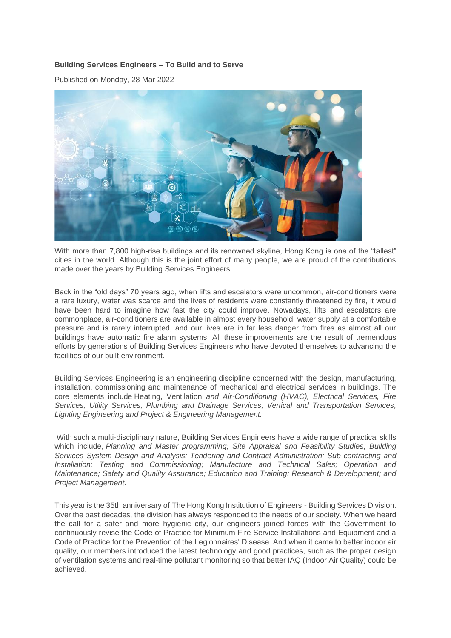## **Building Services Engineers – To Build and to Serve**

Published on Monday, 28 Mar 2022



With more than 7,800 high-rise buildings and its renowned skyline. Hong Kong is one of the "tallest" cities in the world. Although this is the joint effort of many people, we are proud of the contributions made over the years by Building Services Engineers.

Back in the "old days" 70 years ago, when lifts and escalators were uncommon, air-conditioners were a rare luxury, water was scarce and the lives of residents were constantly threatened by fire, it would have been hard to imagine how fast the city could improve. Nowadays, lifts and escalators are commonplace, air-conditioners are available in almost every household, water supply at a comfortable pressure and is rarely interrupted, and our lives are in far less danger from fires as almost all our buildings have automatic fire alarm systems. All these improvements are the result of tremendous efforts by generations of Building Services Engineers who have devoted themselves to advancing the facilities of our built environment.

Building Services Engineering is an engineering discipline concerned with the design, manufacturing, installation, commissioning and maintenance of mechanical and electrical services in buildings. The core elements include Heating, Ventilation *and Air-Conditioning (HVAC), Electrical Services, Fire Services, Utility Services, Plumbing and Drainage Services, Vertical and Transportation Services, Lighting Engineering and Project & Engineering Management.*

With such a multi-disciplinary nature, Building Services Engineers have a wide range of practical skills which include, *Planning and Master programming; Site Appraisal and Feasibility Studies; Building Services System Design and Analysis; Tendering and Contract Administration; Sub-contracting and Installation; Testing and Commissioning; Manufacture and Technical Sales; Operation and Maintenance; Safety and Quality Assurance; Education and Training: Research & Development; and Project Management*.

This year is the 35th anniversary of The Hong Kong Institution of Engineers - Building Services Division. Over the past decades, the division has always responded to the needs of our society. When we heard the call for a safer and more hygienic city, our engineers joined forces with the Government to continuously revise the Code of Practice for Minimum Fire Service Installations and Equipment and a Code of Practice for the Prevention of the Legionnaires' Disease. And when it came to better indoor air quality, our members introduced the latest technology and good practices, such as the proper design of ventilation systems and real-time pollutant monitoring so that better IAQ (Indoor Air Quality) could be achieved.